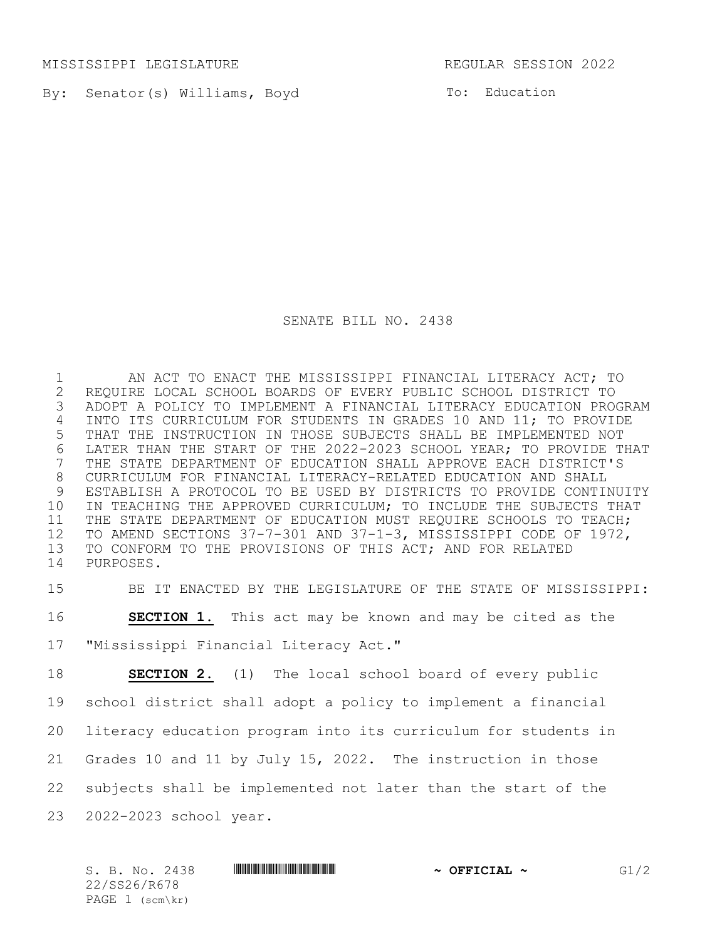MISSISSIPPI LEGISLATURE REGULAR SESSION 2022

By: Senator(s) Williams, Boyd

To: Education

SENATE BILL NO. 2438

 AN ACT TO ENACT THE MISSISSIPPI FINANCIAL LITERACY ACT; TO REQUIRE LOCAL SCHOOL BOARDS OF EVERY PUBLIC SCHOOL DISTRICT TO ADOPT A POLICY TO IMPLEMENT A FINANCIAL LITERACY EDUCATION PROGRAM INTO ITS CURRICULUM FOR STUDENTS IN GRADES 10 AND 11; TO PROVIDE THAT THE INSTRUCTION IN THOSE SUBJECTS SHALL BE IMPLEMENTED NOT 6 LATER THAN THE START OF THE 2022-2023 SCHOOL YEAR; TO PROVIDE THAT<br>7 THE STATE DEPARTMENT OF EDUCATION SHALL APPROVE EACH DISTRICT'S THE STATE DEPARTMENT OF EDUCATION SHALL APPROVE EACH DISTRICT'S CURRICULUM FOR FINANCIAL LITERACY-RELATED EDUCATION AND SHALL ESTABLISH A PROTOCOL TO BE USED BY DISTRICTS TO PROVIDE CONTINUITY IN TEACHING THE APPROVED CURRICULUM; TO INCLUDE THE SUBJECTS THAT 11 THE STATE DEPARTMENT OF EDUCATION MUST REQUIRE SCHOOLS TO TEACH; TO AMEND SECTIONS 37-7-301 AND 37-1-3, MISSISSIPPI CODE OF 1972, TO CONFORM TO THE PROVISIONS OF THIS ACT; AND FOR RELATED PURPOSES.

BE IT ENACTED BY THE LEGISLATURE OF THE STATE OF MISSISSIPPI:

**SECTION 1.** This act may be known and may be cited as the

"Mississippi Financial Literacy Act."

 **SECTION 2.** (1) The local school board of every public school district shall adopt a policy to implement a financial literacy education program into its curriculum for students in Grades 10 and 11 by July 15, 2022. The instruction in those subjects shall be implemented not later than the start of the 2022-2023 school year.

S. B. No. 2438 **\*\*\* ASSECTED A SECOND \*\*\* OFFICIAL ~** G1/2 22/SS26/R678 PAGE (scm\kr)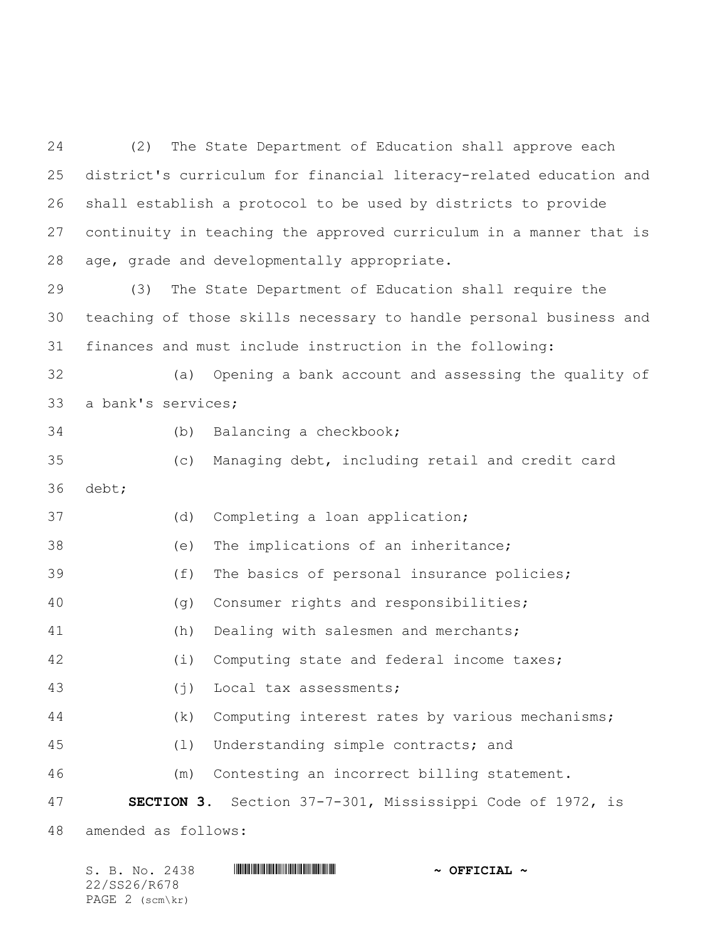(2) The State Department of Education shall approve each district's curriculum for financial literacy-related education and shall establish a protocol to be used by districts to provide continuity in teaching the approved curriculum in a manner that is age, grade and developmentally appropriate.

 (3) The State Department of Education shall require the teaching of those skills necessary to handle personal business and finances and must include instruction in the following:

 (a) Opening a bank account and assessing the quality of a bank's services;

(b) Balancing a checkbook;

 (c) Managing debt, including retail and credit card debt;

(d) Completing a loan application;

(e) The implications of an inheritance;

(f) The basics of personal insurance policies;

(g) Consumer rights and responsibilities;

(h) Dealing with salesmen and merchants;

(i) Computing state and federal income taxes;

(j) Local tax assessments;

(k) Computing interest rates by various mechanisms;

(l) Understanding simple contracts; and

(m) Contesting an incorrect billing statement.

**SECTION 3.** Section 37-7-301, Mississippi Code of 1972, is

amended as follows:

| S. B. No. 2438  | $\sim$ OFFICIAL $\sim$ |
|-----------------|------------------------|
| 22/SS26/R678    |                        |
| PAGE 2 (scm\kr) |                        |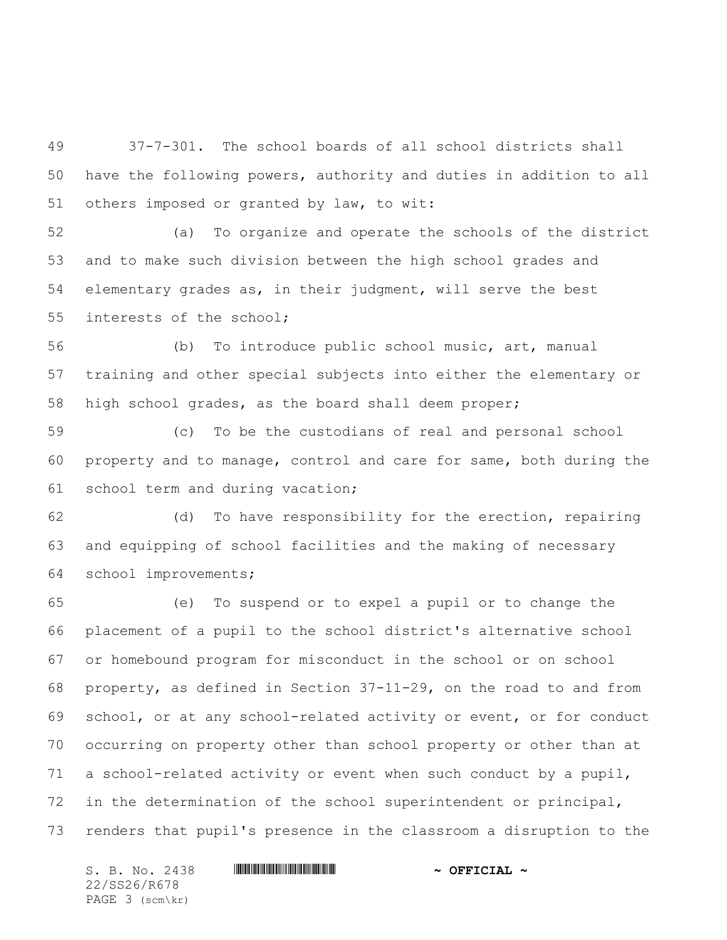37-7-301. The school boards of all school districts shall have the following powers, authority and duties in addition to all others imposed or granted by law, to wit:

 (a) To organize and operate the schools of the district and to make such division between the high school grades and elementary grades as, in their judgment, will serve the best interests of the school;

 (b) To introduce public school music, art, manual training and other special subjects into either the elementary or high school grades, as the board shall deem proper;

 (c) To be the custodians of real and personal school property and to manage, control and care for same, both during the school term and during vacation;

 (d) To have responsibility for the erection, repairing and equipping of school facilities and the making of necessary school improvements;

 (e) To suspend or to expel a pupil or to change the placement of a pupil to the school district's alternative school or homebound program for misconduct in the school or on school property, as defined in Section 37-11-29, on the road to and from school, or at any school-related activity or event, or for conduct occurring on property other than school property or other than at a school-related activity or event when such conduct by a pupil, in the determination of the school superintendent or principal, renders that pupil's presence in the classroom a disruption to the

S. B. No. 2438 **\*\*\* A SEPTICIAL \*\*\*** OFFICIAL \*\* 22/SS26/R678 PAGE 3 (scm\kr)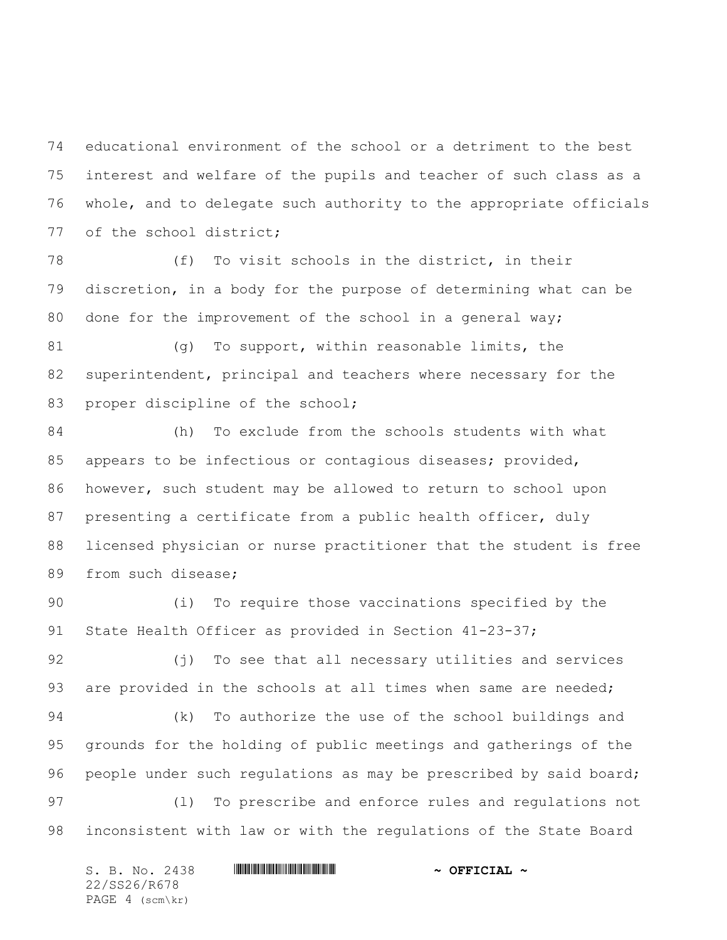educational environment of the school or a detriment to the best interest and welfare of the pupils and teacher of such class as a whole, and to delegate such authority to the appropriate officials 77 of the school district;

 (f) To visit schools in the district, in their discretion, in a body for the purpose of determining what can be done for the improvement of the school in a general way;

 (g) To support, within reasonable limits, the superintendent, principal and teachers where necessary for the 83 proper discipline of the school;

 (h) To exclude from the schools students with what appears to be infectious or contagious diseases; provided, however, such student may be allowed to return to school upon presenting a certificate from a public health officer, duly licensed physician or nurse practitioner that the student is free 89 from such disease;

 (i) To require those vaccinations specified by the 91 State Health Officer as provided in Section 41-23-37;

 (j) To see that all necessary utilities and services 93 are provided in the schools at all times when same are needed;

 (k) To authorize the use of the school buildings and grounds for the holding of public meetings and gatherings of the 96 people under such regulations as may be prescribed by said board; (l) To prescribe and enforce rules and regulations not inconsistent with law or with the regulations of the State Board

S. B. No. 2438 **\*\*\* A SEPTICIAL \*\*\*** OFFICIAL \*\* 22/SS26/R678 PAGE 4 (scm\kr)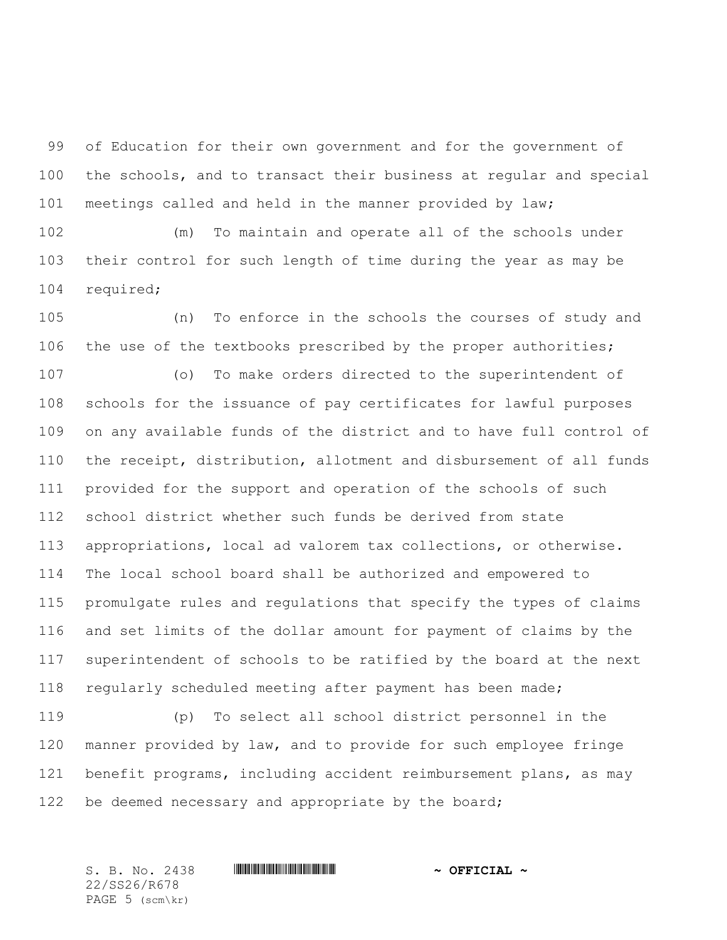of Education for their own government and for the government of the schools, and to transact their business at regular and special meetings called and held in the manner provided by law;

 (m) To maintain and operate all of the schools under their control for such length of time during the year as may be required;

 (n) To enforce in the schools the courses of study and the use of the textbooks prescribed by the proper authorities;

 (o) To make orders directed to the superintendent of schools for the issuance of pay certificates for lawful purposes on any available funds of the district and to have full control of the receipt, distribution, allotment and disbursement of all funds provided for the support and operation of the schools of such school district whether such funds be derived from state appropriations, local ad valorem tax collections, or otherwise. The local school board shall be authorized and empowered to promulgate rules and regulations that specify the types of claims and set limits of the dollar amount for payment of claims by the superintendent of schools to be ratified by the board at the next regularly scheduled meeting after payment has been made;

 (p) To select all school district personnel in the manner provided by law, and to provide for such employee fringe benefit programs, including accident reimbursement plans, as may 122 be deemed necessary and appropriate by the board;

22/SS26/R678 PAGE (scm\kr)

S. B. No. 2438 **\*\*\*\* A SECONDENT A SECONDENT A POST OF PLACE A**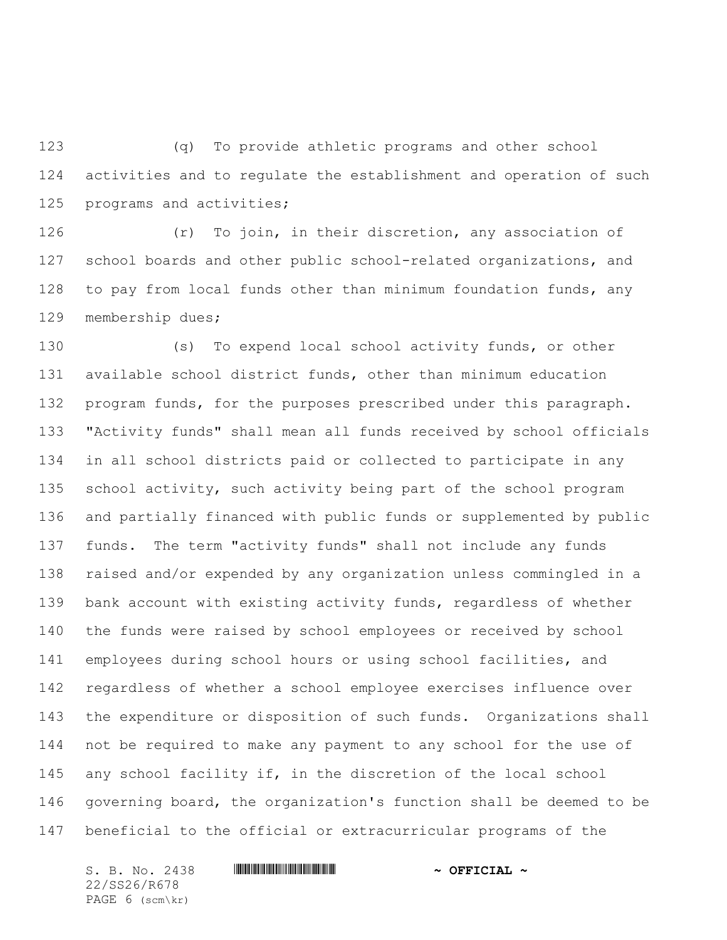(q) To provide athletic programs and other school activities and to regulate the establishment and operation of such programs and activities;

 (r) To join, in their discretion, any association of school boards and other public school-related organizations, and to pay from local funds other than minimum foundation funds, any membership dues;

 (s) To expend local school activity funds, or other available school district funds, other than minimum education 132 program funds, for the purposes prescribed under this paragraph. "Activity funds" shall mean all funds received by school officials in all school districts paid or collected to participate in any school activity, such activity being part of the school program and partially financed with public funds or supplemented by public funds. The term "activity funds" shall not include any funds raised and/or expended by any organization unless commingled in a bank account with existing activity funds, regardless of whether the funds were raised by school employees or received by school employees during school hours or using school facilities, and regardless of whether a school employee exercises influence over the expenditure or disposition of such funds. Organizations shall not be required to make any payment to any school for the use of any school facility if, in the discretion of the local school governing board, the organization's function shall be deemed to be beneficial to the official or extracurricular programs of the

S. B. No. 2438 \*SS26/R678\* **~ OFFICIAL ~** 22/SS26/R678 PAGE 6 (scm\kr)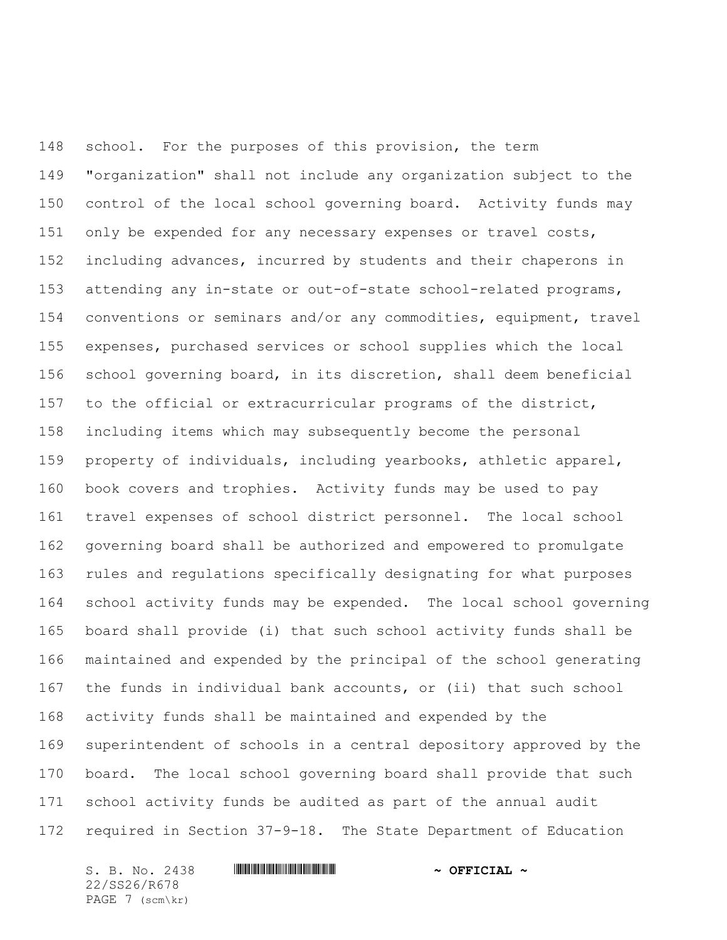school. For the purposes of this provision, the term "organization" shall not include any organization subject to the control of the local school governing board. Activity funds may only be expended for any necessary expenses or travel costs, including advances, incurred by students and their chaperons in attending any in-state or out-of-state school-related programs, conventions or seminars and/or any commodities, equipment, travel expenses, purchased services or school supplies which the local school governing board, in its discretion, shall deem beneficial to the official or extracurricular programs of the district, including items which may subsequently become the personal property of individuals, including yearbooks, athletic apparel, book covers and trophies. Activity funds may be used to pay travel expenses of school district personnel. The local school governing board shall be authorized and empowered to promulgate rules and regulations specifically designating for what purposes school activity funds may be expended. The local school governing board shall provide (i) that such school activity funds shall be maintained and expended by the principal of the school generating the funds in individual bank accounts, or (ii) that such school activity funds shall be maintained and expended by the superintendent of schools in a central depository approved by the board. The local school governing board shall provide that such school activity funds be audited as part of the annual audit required in Section 37-9-18. The State Department of Education

S. B. No. 2438 \*SS26/R678\* **~ OFFICIAL ~** 22/SS26/R678 PAGE 7 (scm\kr)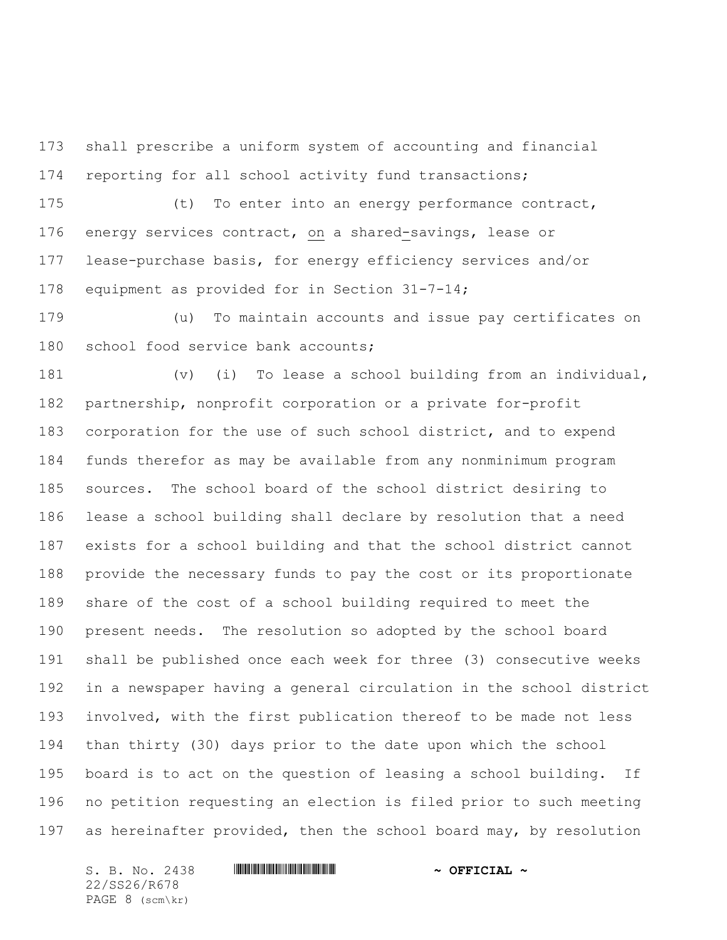shall prescribe a uniform system of accounting and financial reporting for all school activity fund transactions;

 (t) To enter into an energy performance contract, energy services contract, on a shared-savings, lease or lease-purchase basis, for energy efficiency services and/or equipment as provided for in Section 31-7-14;

 (u) To maintain accounts and issue pay certificates on 180 school food service bank accounts;

 (v) (i) To lease a school building from an individual, partnership, nonprofit corporation or a private for-profit corporation for the use of such school district, and to expend funds therefor as may be available from any nonminimum program sources. The school board of the school district desiring to lease a school building shall declare by resolution that a need exists for a school building and that the school district cannot provide the necessary funds to pay the cost or its proportionate share of the cost of a school building required to meet the present needs. The resolution so adopted by the school board shall be published once each week for three (3) consecutive weeks in a newspaper having a general circulation in the school district involved, with the first publication thereof to be made not less than thirty (30) days prior to the date upon which the school board is to act on the question of leasing a school building. If no petition requesting an election is filed prior to such meeting as hereinafter provided, then the school board may, by resolution

22/SS26/R678 PAGE 8 (scm\kr)

S. B. No. 2438 \*SS26/R678\* **~ OFFICIAL ~**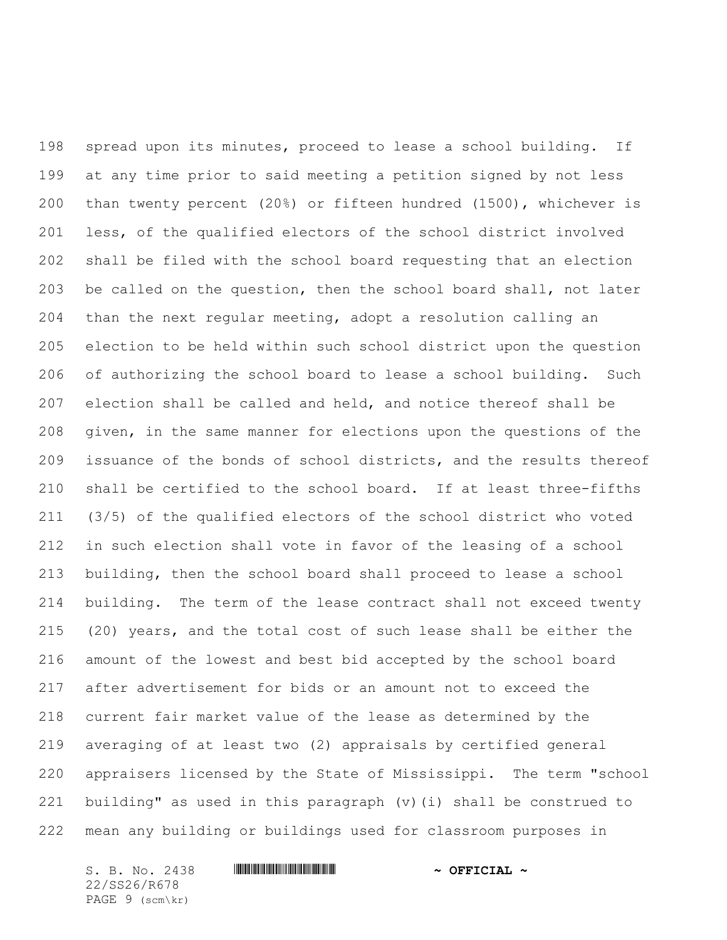spread upon its minutes, proceed to lease a school building. If at any time prior to said meeting a petition signed by not less than twenty percent (20%) or fifteen hundred (1500), whichever is less, of the qualified electors of the school district involved shall be filed with the school board requesting that an election be called on the question, then the school board shall, not later than the next regular meeting, adopt a resolution calling an election to be held within such school district upon the question of authorizing the school board to lease a school building. Such election shall be called and held, and notice thereof shall be given, in the same manner for elections upon the questions of the issuance of the bonds of school districts, and the results thereof shall be certified to the school board. If at least three-fifths (3/5) of the qualified electors of the school district who voted in such election shall vote in favor of the leasing of a school building, then the school board shall proceed to lease a school building. The term of the lease contract shall not exceed twenty (20) years, and the total cost of such lease shall be either the amount of the lowest and best bid accepted by the school board after advertisement for bids or an amount not to exceed the current fair market value of the lease as determined by the averaging of at least two (2) appraisals by certified general appraisers licensed by the State of Mississippi. The term "school building" as used in this paragraph (v)(i) shall be construed to mean any building or buildings used for classroom purposes in

S. B. No. 2438 **\*\*\* A SEPTICIAL \*\*\* \*\*\* OFFICIAL \*\*** 22/SS26/R678 PAGE 9 (scm\kr)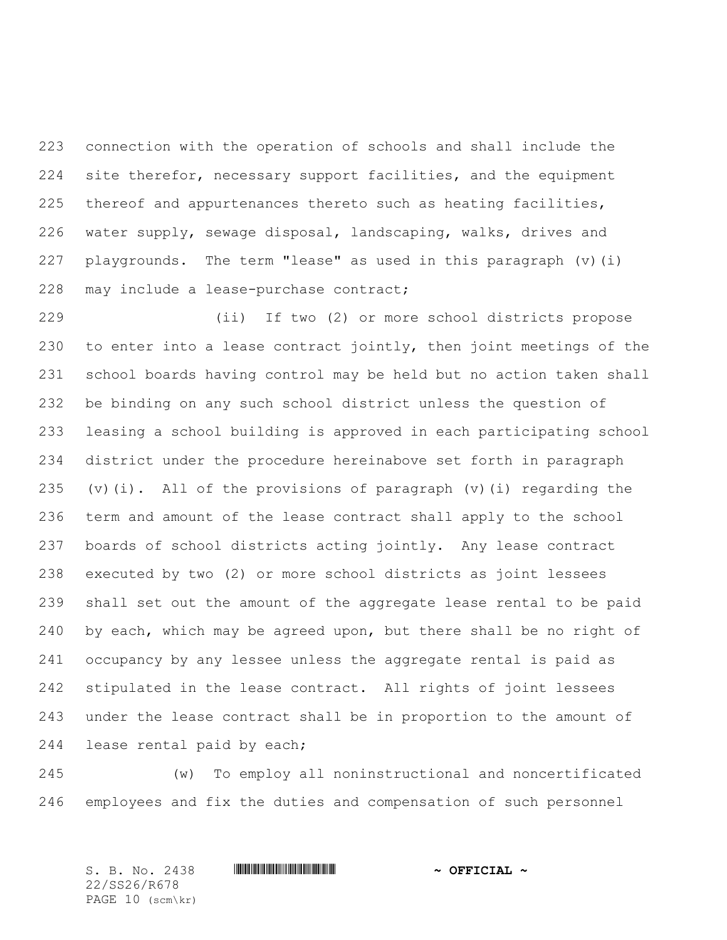connection with the operation of schools and shall include the site therefor, necessary support facilities, and the equipment thereof and appurtenances thereto such as heating facilities, water supply, sewage disposal, landscaping, walks, drives and playgrounds. The term "lease" as used in this paragraph (v)(i) 228 may include a lease-purchase contract;

 (ii) If two (2) or more school districts propose to enter into a lease contract jointly, then joint meetings of the school boards having control may be held but no action taken shall be binding on any such school district unless the question of leasing a school building is approved in each participating school district under the procedure hereinabove set forth in paragraph (v)(i). All of the provisions of paragraph (v)(i) regarding the term and amount of the lease contract shall apply to the school boards of school districts acting jointly. Any lease contract executed by two (2) or more school districts as joint lessees shall set out the amount of the aggregate lease rental to be paid by each, which may be agreed upon, but there shall be no right of occupancy by any lessee unless the aggregate rental is paid as stipulated in the lease contract. All rights of joint lessees under the lease contract shall be in proportion to the amount of 244 lease rental paid by each;

 (w) To employ all noninstructional and noncertificated employees and fix the duties and compensation of such personnel

S. B. No. 2438 **\*\*\*\* A SECONDENT A SECONDENT A POST OF PLACE A** 22/SS26/R678 PAGE 10 (scm\kr)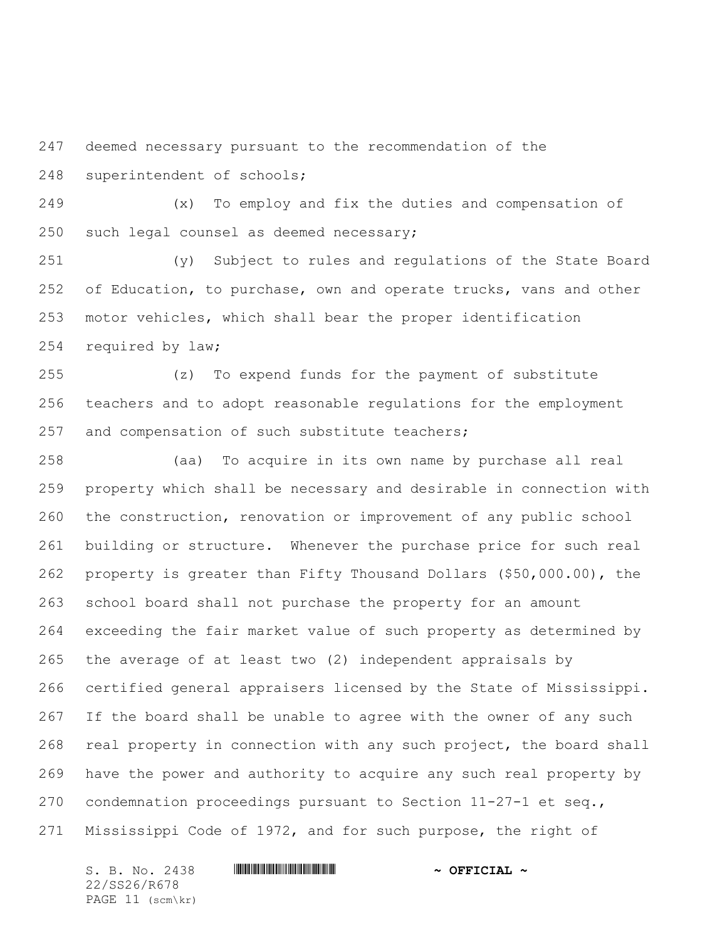deemed necessary pursuant to the recommendation of the superintendent of schools;

 (x) To employ and fix the duties and compensation of such legal counsel as deemed necessary;

 (y) Subject to rules and regulations of the State Board 252 of Education, to purchase, own and operate trucks, vans and other motor vehicles, which shall bear the proper identification required by law;

 (z) To expend funds for the payment of substitute teachers and to adopt reasonable regulations for the employment 257 and compensation of such substitute teachers;

 (aa) To acquire in its own name by purchase all real property which shall be necessary and desirable in connection with the construction, renovation or improvement of any public school building or structure. Whenever the purchase price for such real property is greater than Fifty Thousand Dollars (\$50,000.00), the school board shall not purchase the property for an amount exceeding the fair market value of such property as determined by the average of at least two (2) independent appraisals by certified general appraisers licensed by the State of Mississippi. If the board shall be unable to agree with the owner of any such real property in connection with any such project, the board shall have the power and authority to acquire any such real property by condemnation proceedings pursuant to Section 11-27-1 et seq., Mississippi Code of 1972, and for such purpose, the right of

22/SS26/R678 PAGE 11 (scm\kr)

S. B. No. 2438 **\*\*\* A SEPTICIAL \*\*\*** OFFICIAL \*\*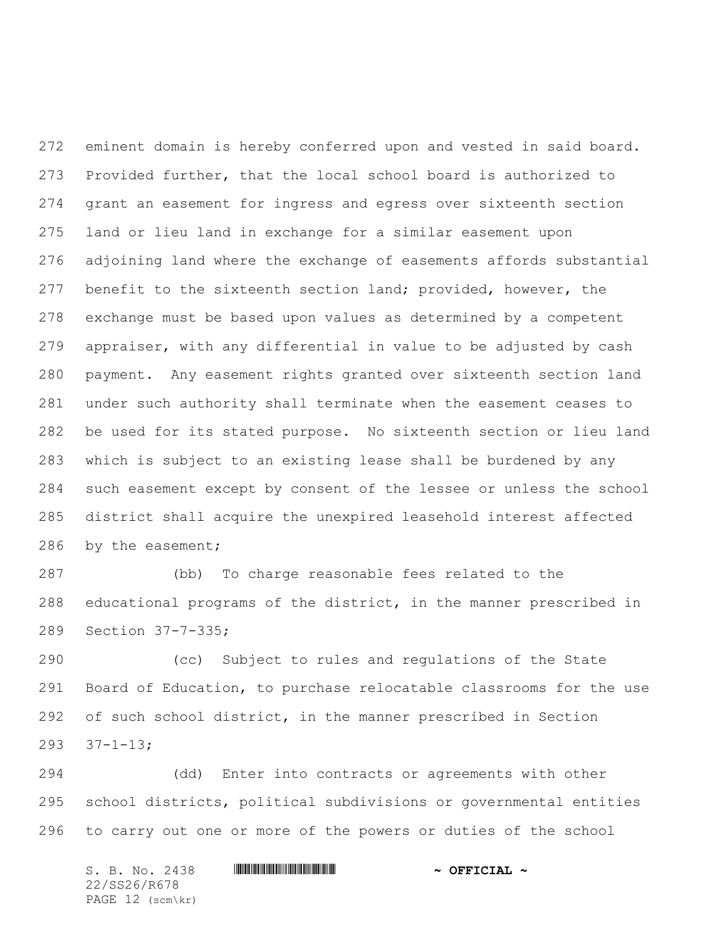eminent domain is hereby conferred upon and vested in said board. Provided further, that the local school board is authorized to grant an easement for ingress and egress over sixteenth section land or lieu land in exchange for a similar easement upon adjoining land where the exchange of easements affords substantial benefit to the sixteenth section land; provided, however, the exchange must be based upon values as determined by a competent appraiser, with any differential in value to be adjusted by cash payment. Any easement rights granted over sixteenth section land under such authority shall terminate when the easement ceases to be used for its stated purpose. No sixteenth section or lieu land which is subject to an existing lease shall be burdened by any such easement except by consent of the lessee or unless the school district shall acquire the unexpired leasehold interest affected by the easement;

 (bb) To charge reasonable fees related to the educational programs of the district, in the manner prescribed in Section 37-7-335;

 (cc) Subject to rules and regulations of the State Board of Education, to purchase relocatable classrooms for the use of such school district, in the manner prescribed in Section 37-1-13;

 (dd) Enter into contracts or agreements with other school districts, political subdivisions or governmental entities to carry out one or more of the powers or duties of the school

S. B. No. 2438 \*SS26/R678\* **~ OFFICIAL ~** 22/SS26/R678 PAGE 12 (scm\kr)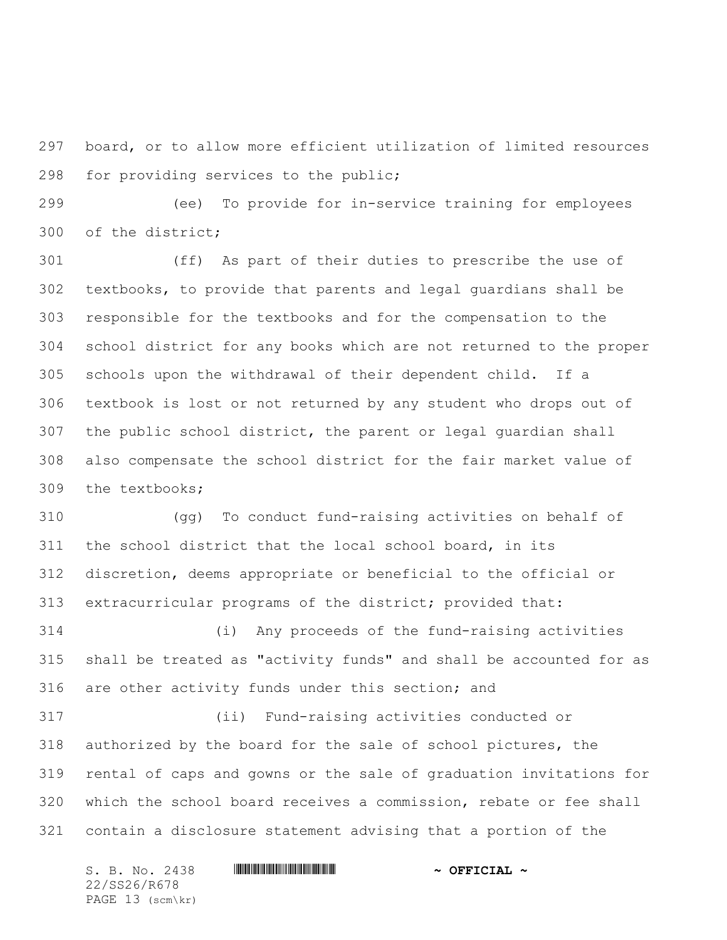board, or to allow more efficient utilization of limited resources for providing services to the public;

 (ee) To provide for in-service training for employees of the district;

 (ff) As part of their duties to prescribe the use of textbooks, to provide that parents and legal guardians shall be responsible for the textbooks and for the compensation to the school district for any books which are not returned to the proper schools upon the withdrawal of their dependent child. If a textbook is lost or not returned by any student who drops out of the public school district, the parent or legal guardian shall also compensate the school district for the fair market value of the textbooks;

 (gg) To conduct fund-raising activities on behalf of the school district that the local school board, in its discretion, deems appropriate or beneficial to the official or extracurricular programs of the district; provided that:

 (i) Any proceeds of the fund-raising activities shall be treated as "activity funds" and shall be accounted for as are other activity funds under this section; and

 (ii) Fund-raising activities conducted or authorized by the board for the sale of school pictures, the rental of caps and gowns or the sale of graduation invitations for which the school board receives a commission, rebate or fee shall contain a disclosure statement advising that a portion of the

S. B. No. 2438 \*SS26/R678\* **~ OFFICIAL ~** 22/SS26/R678 PAGE 13 (scm\kr)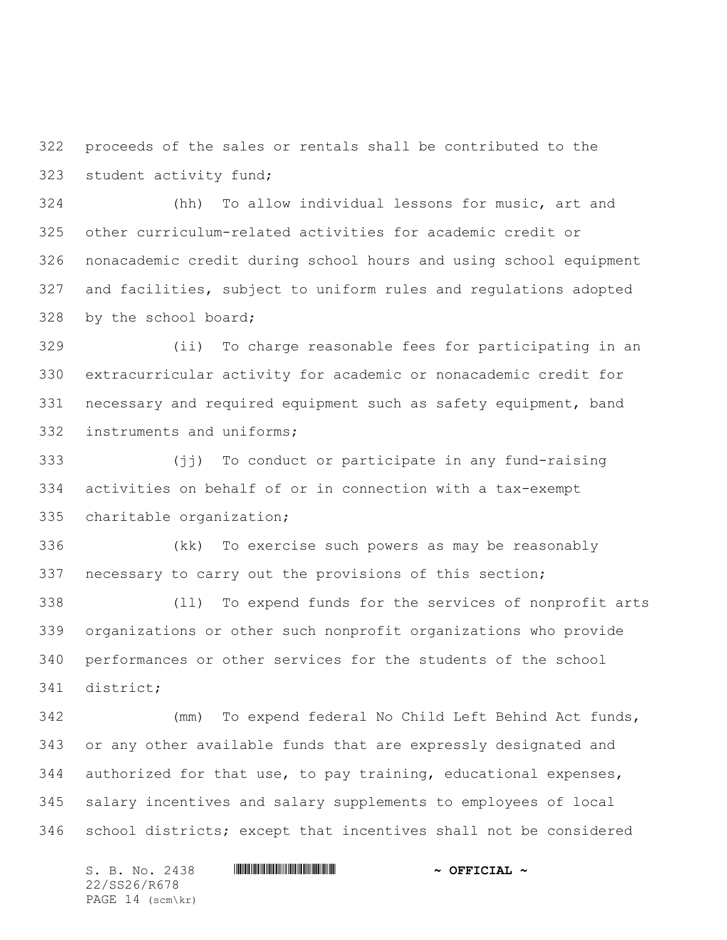proceeds of the sales or rentals shall be contributed to the student activity fund;

 (hh) To allow individual lessons for music, art and other curriculum-related activities for academic credit or nonacademic credit during school hours and using school equipment and facilities, subject to uniform rules and regulations adopted by the school board;

 (ii) To charge reasonable fees for participating in an extracurricular activity for academic or nonacademic credit for necessary and required equipment such as safety equipment, band instruments and uniforms;

 (jj) To conduct or participate in any fund-raising activities on behalf of or in connection with a tax-exempt charitable organization;

 (kk) To exercise such powers as may be reasonably necessary to carry out the provisions of this section;

 (ll) To expend funds for the services of nonprofit arts organizations or other such nonprofit organizations who provide performances or other services for the students of the school district;

 (mm) To expend federal No Child Left Behind Act funds, or any other available funds that are expressly designated and authorized for that use, to pay training, educational expenses, salary incentives and salary supplements to employees of local school districts; except that incentives shall not be considered

S. B. No. 2438 \*SS26/R678\* **~ OFFICIAL ~** 22/SS26/R678 PAGE 14 (scm\kr)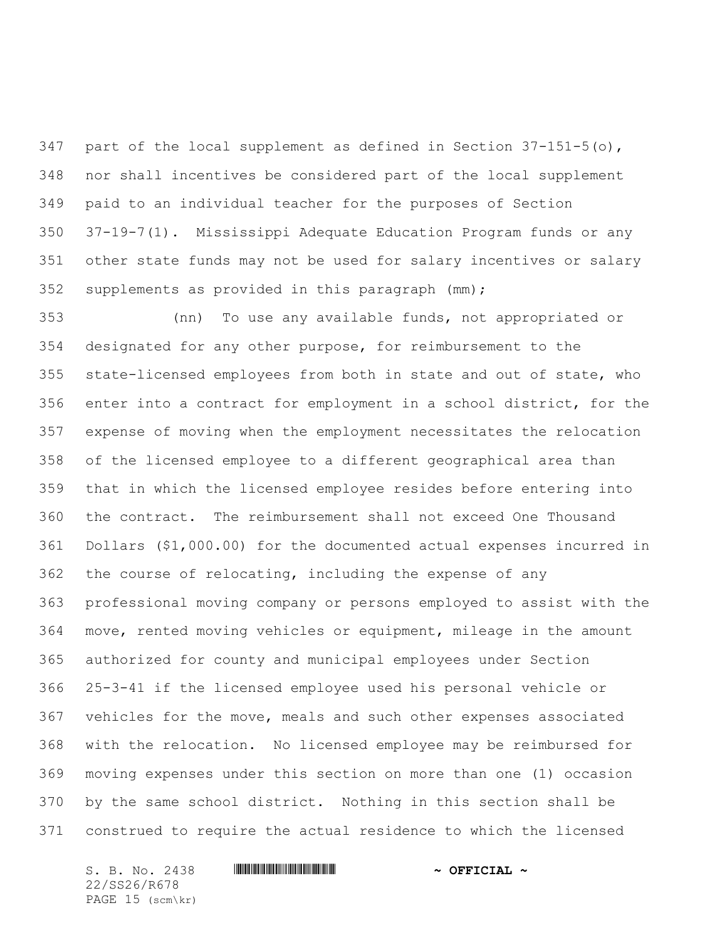347 part of the local supplement as defined in Section  $37-151-5$  (o), nor shall incentives be considered part of the local supplement paid to an individual teacher for the purposes of Section 37-19-7(1). Mississippi Adequate Education Program funds or any other state funds may not be used for salary incentives or salary supplements as provided in this paragraph (mm);

 (nn) To use any available funds, not appropriated or designated for any other purpose, for reimbursement to the state-licensed employees from both in state and out of state, who enter into a contract for employment in a school district, for the expense of moving when the employment necessitates the relocation of the licensed employee to a different geographical area than that in which the licensed employee resides before entering into the contract. The reimbursement shall not exceed One Thousand Dollars (\$1,000.00) for the documented actual expenses incurred in the course of relocating, including the expense of any professional moving company or persons employed to assist with the move, rented moving vehicles or equipment, mileage in the amount authorized for county and municipal employees under Section 25-3-41 if the licensed employee used his personal vehicle or vehicles for the move, meals and such other expenses associated with the relocation. No licensed employee may be reimbursed for moving expenses under this section on more than one (1) occasion by the same school district. Nothing in this section shall be construed to require the actual residence to which the licensed

S. B. No. 2438 \*SS26/R678\* **~ OFFICIAL ~** 22/SS26/R678 PAGE 15 (scm\kr)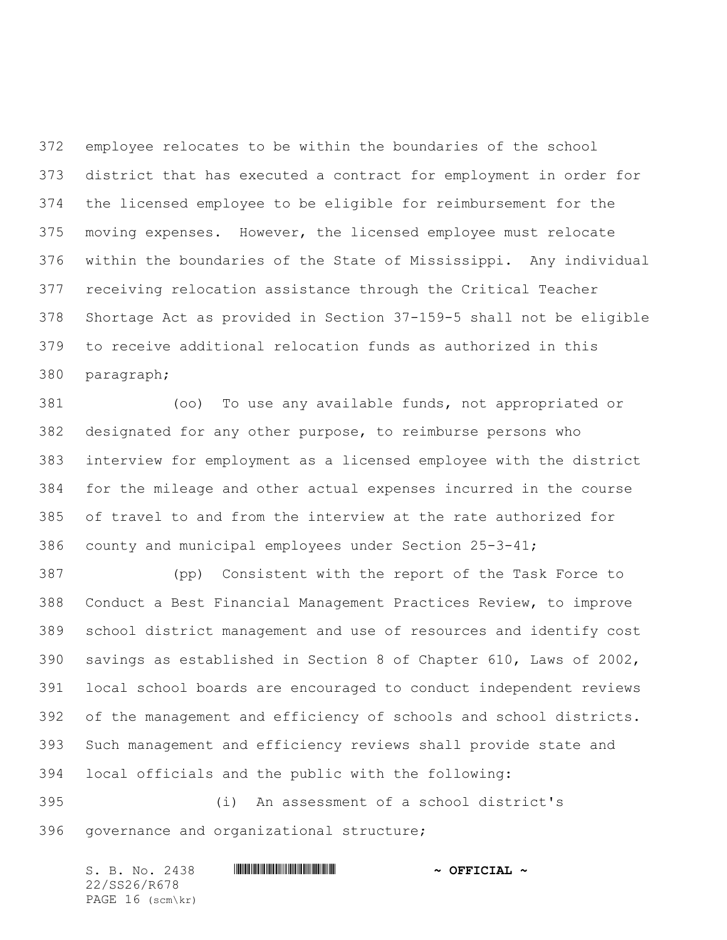employee relocates to be within the boundaries of the school district that has executed a contract for employment in order for the licensed employee to be eligible for reimbursement for the moving expenses. However, the licensed employee must relocate within the boundaries of the State of Mississippi. Any individual receiving relocation assistance through the Critical Teacher Shortage Act as provided in Section 37-159-5 shall not be eligible to receive additional relocation funds as authorized in this paragraph;

 (oo) To use any available funds, not appropriated or designated for any other purpose, to reimburse persons who interview for employment as a licensed employee with the district for the mileage and other actual expenses incurred in the course of travel to and from the interview at the rate authorized for county and municipal employees under Section 25-3-41;

 (pp) Consistent with the report of the Task Force to Conduct a Best Financial Management Practices Review, to improve school district management and use of resources and identify cost savings as established in Section 8 of Chapter 610, Laws of 2002, local school boards are encouraged to conduct independent reviews of the management and efficiency of schools and school districts. Such management and efficiency reviews shall provide state and local officials and the public with the following:

 (i) An assessment of a school district's governance and organizational structure;

S. B. No. 2438 **\*\*\* A SEPTICIAL \*\*\*** OFFICIAL \*\* 22/SS26/R678 PAGE 16 (scm\kr)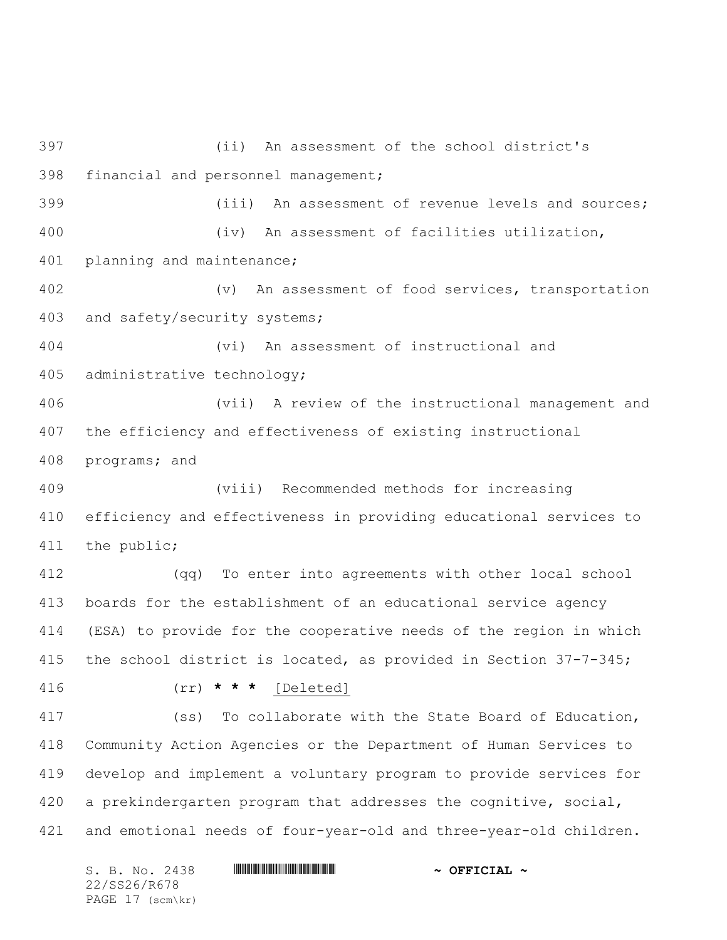(ii) An assessment of the school district's financial and personnel management; (iii) An assessment of revenue levels and sources; (iv) An assessment of facilities utilization, planning and maintenance; (v) An assessment of food services, transportation and safety/security systems; (vi) An assessment of instructional and administrative technology; (vii) A review of the instructional management and the efficiency and effectiveness of existing instructional programs; and (viii) Recommended methods for increasing efficiency and effectiveness in providing educational services to the public; (qq) To enter into agreements with other local school boards for the establishment of an educational service agency (ESA) to provide for the cooperative needs of the region in which the school district is located, as provided in Section 37-7-345; (rr) **\* \* \*** [Deleted] (ss) To collaborate with the State Board of Education, Community Action Agencies or the Department of Human Services to develop and implement a voluntary program to provide services for a prekindergarten program that addresses the cognitive, social, and emotional needs of four-year-old and three-year-old children.

S. B. No. 2438 \*SS26/R678\* **~ OFFICIAL ~** 22/SS26/R678 PAGE 17 (scm\kr)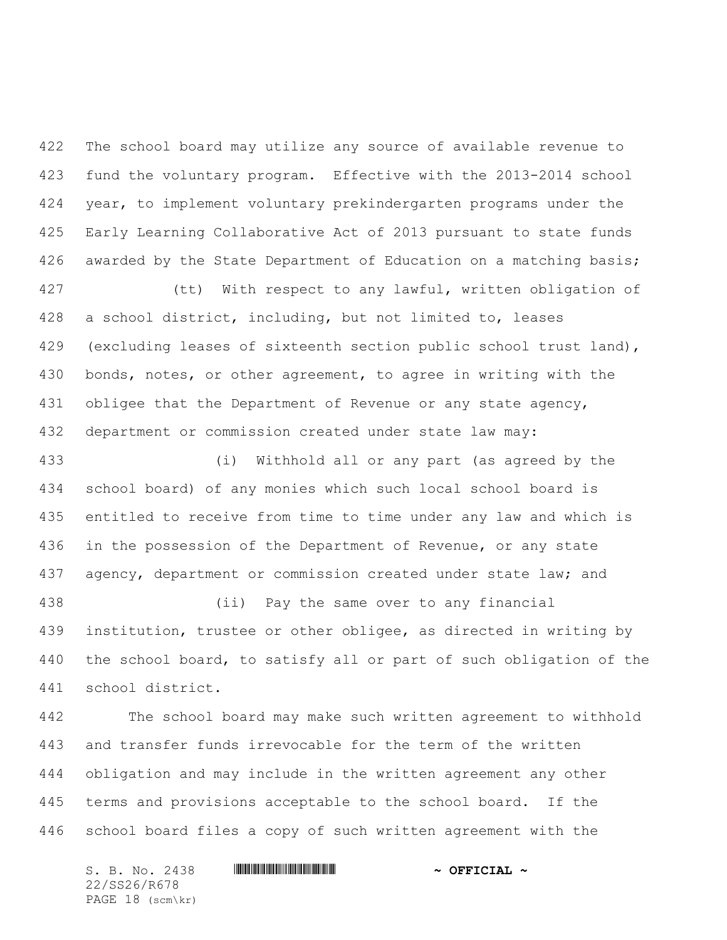The school board may utilize any source of available revenue to fund the voluntary program. Effective with the 2013-2014 school year, to implement voluntary prekindergarten programs under the Early Learning Collaborative Act of 2013 pursuant to state funds awarded by the State Department of Education on a matching basis;

 (tt) With respect to any lawful, written obligation of a school district, including, but not limited to, leases 429 (excluding leases of sixteenth section public school trust land), bonds, notes, or other agreement, to agree in writing with the 431 obligee that the Department of Revenue or any state agency, department or commission created under state law may:

 (i) Withhold all or any part (as agreed by the school board) of any monies which such local school board is entitled to receive from time to time under any law and which is in the possession of the Department of Revenue, or any state 437 agency, department or commission created under state law; and

 (ii) Pay the same over to any financial institution, trustee or other obligee, as directed in writing by the school board, to satisfy all or part of such obligation of the school district.

 The school board may make such written agreement to withhold and transfer funds irrevocable for the term of the written obligation and may include in the written agreement any other terms and provisions acceptable to the school board. If the school board files a copy of such written agreement with the

S. B. No. 2438 \*SS26/R678\* **~ OFFICIAL ~** 22/SS26/R678 PAGE 18 (scm\kr)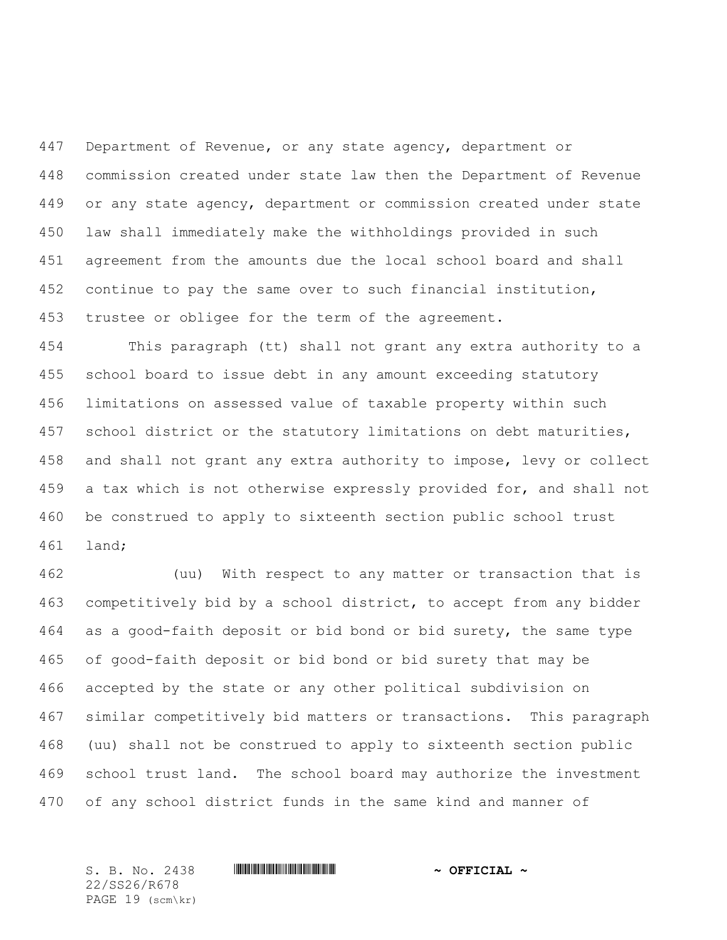Department of Revenue, or any state agency, department or commission created under state law then the Department of Revenue or any state agency, department or commission created under state law shall immediately make the withholdings provided in such agreement from the amounts due the local school board and shall continue to pay the same over to such financial institution, trustee or obligee for the term of the agreement.

 This paragraph (tt) shall not grant any extra authority to a school board to issue debt in any amount exceeding statutory limitations on assessed value of taxable property within such school district or the statutory limitations on debt maturities, and shall not grant any extra authority to impose, levy or collect a tax which is not otherwise expressly provided for, and shall not be construed to apply to sixteenth section public school trust land;

 (uu) With respect to any matter or transaction that is competitively bid by a school district, to accept from any bidder as a good-faith deposit or bid bond or bid surety, the same type of good-faith deposit or bid bond or bid surety that may be accepted by the state or any other political subdivision on similar competitively bid matters or transactions. This paragraph (uu) shall not be construed to apply to sixteenth section public school trust land. The school board may authorize the investment of any school district funds in the same kind and manner of

S. B. No. 2438 **\*\*\*\* A SECONDENT A SECONDENT A POST OF PLACE A** 22/SS26/R678 PAGE 19 (scm\kr)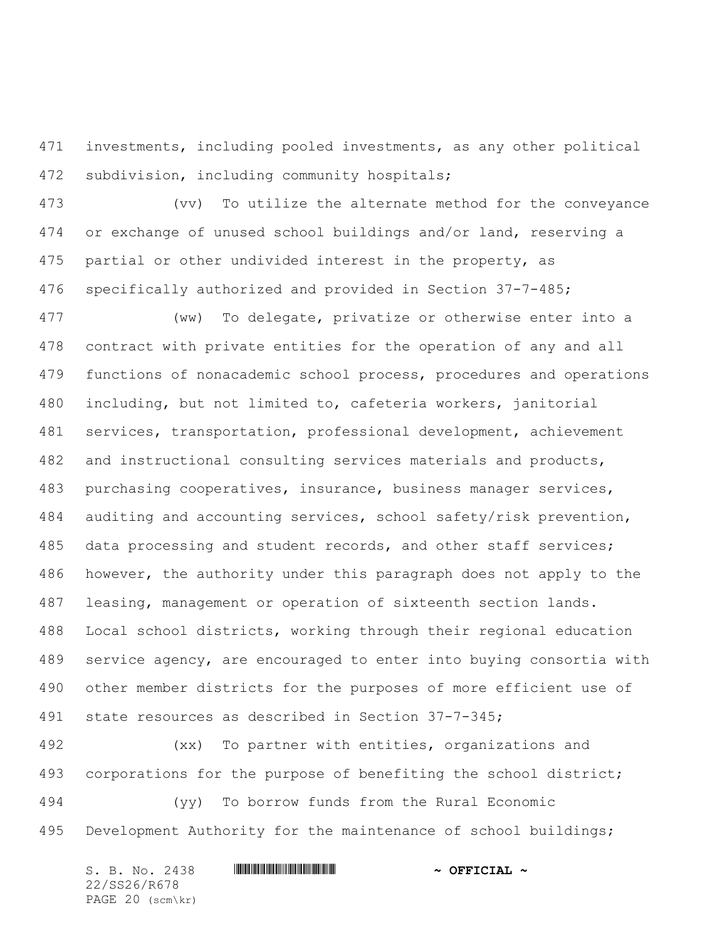investments, including pooled investments, as any other political subdivision, including community hospitals;

 (vv) To utilize the alternate method for the conveyance or exchange of unused school buildings and/or land, reserving a partial or other undivided interest in the property, as specifically authorized and provided in Section 37-7-485;

 (ww) To delegate, privatize or otherwise enter into a contract with private entities for the operation of any and all functions of nonacademic school process, procedures and operations including, but not limited to, cafeteria workers, janitorial services, transportation, professional development, achievement and instructional consulting services materials and products, purchasing cooperatives, insurance, business manager services, auditing and accounting services, school safety/risk prevention, data processing and student records, and other staff services; however, the authority under this paragraph does not apply to the leasing, management or operation of sixteenth section lands. Local school districts, working through their regional education service agency, are encouraged to enter into buying consortia with other member districts for the purposes of more efficient use of state resources as described in Section 37-7-345;

 (xx) To partner with entities, organizations and 493 corporations for the purpose of benefiting the school district; (yy) To borrow funds from the Rural Economic Development Authority for the maintenance of school buildings;

S. B. No. 2438 **\*\*\* A SEPTICIAL \*\*\*** OFFICIAL \*\* 22/SS26/R678 PAGE 20 (scm\kr)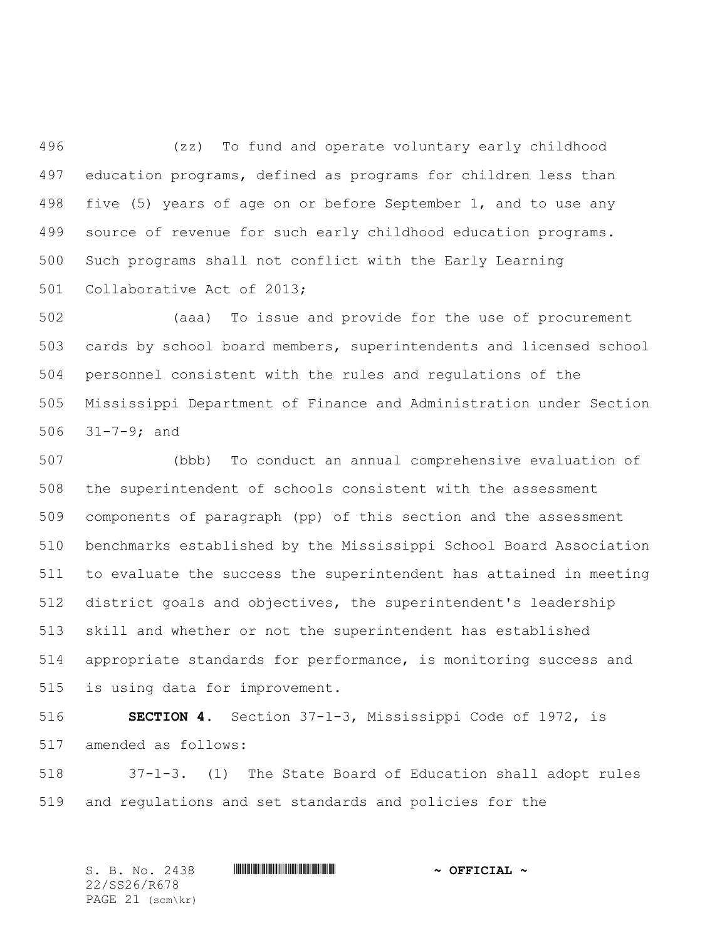(zz) To fund and operate voluntary early childhood education programs, defined as programs for children less than five (5) years of age on or before September 1, and to use any source of revenue for such early childhood education programs. Such programs shall not conflict with the Early Learning Collaborative Act of 2013;

 (aaa) To issue and provide for the use of procurement cards by school board members, superintendents and licensed school personnel consistent with the rules and regulations of the Mississippi Department of Finance and Administration under Section 31-7-9; and

 (bbb) To conduct an annual comprehensive evaluation of the superintendent of schools consistent with the assessment components of paragraph (pp) of this section and the assessment benchmarks established by the Mississippi School Board Association to evaluate the success the superintendent has attained in meeting district goals and objectives, the superintendent's leadership skill and whether or not the superintendent has established appropriate standards for performance, is monitoring success and is using data for improvement.

 **SECTION 4.** Section 37-1-3, Mississippi Code of 1972, is amended as follows:

 37-1-3. (1) The State Board of Education shall adopt rules and regulations and set standards and policies for the

S. B. No. 2438 **\*\*\*\* A SECONDENT A SECONDENT A POST OF PLACE A** 22/SS26/R678 PAGE 21 (scm\kr)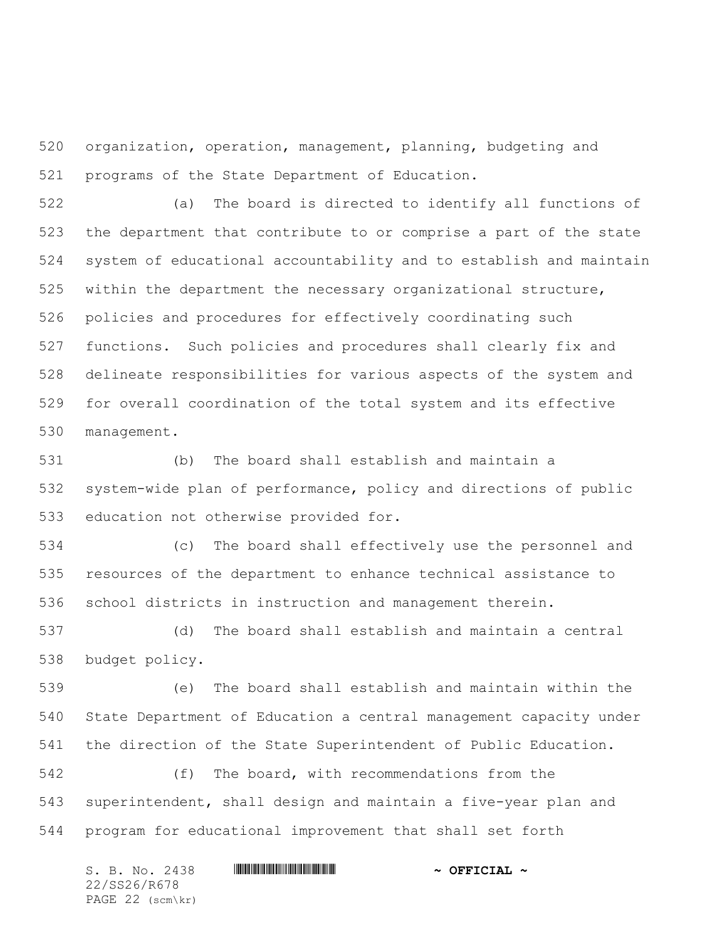organization, operation, management, planning, budgeting and programs of the State Department of Education.

 (a) The board is directed to identify all functions of the department that contribute to or comprise a part of the state system of educational accountability and to establish and maintain within the department the necessary organizational structure, policies and procedures for effectively coordinating such functions. Such policies and procedures shall clearly fix and delineate responsibilities for various aspects of the system and for overall coordination of the total system and its effective management.

 (b) The board shall establish and maintain a system-wide plan of performance, policy and directions of public education not otherwise provided for.

 (c) The board shall effectively use the personnel and resources of the department to enhance technical assistance to school districts in instruction and management therein.

 (d) The board shall establish and maintain a central budget policy.

 (e) The board shall establish and maintain within the State Department of Education a central management capacity under the direction of the State Superintendent of Public Education.

 (f) The board, with recommendations from the superintendent, shall design and maintain a five-year plan and program for educational improvement that shall set forth

| S. B. No. 2438     | $\sim$ OFFICIAL $\sim$ |
|--------------------|------------------------|
| 22/SS26/R678       |                        |
| PAGE $22$ (scm\kr) |                        |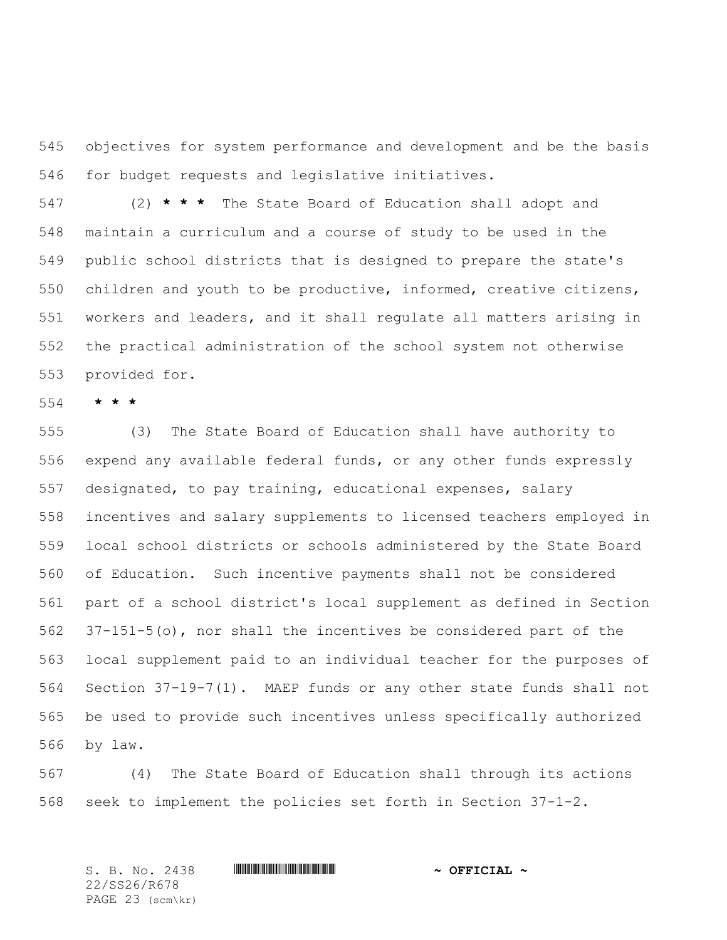objectives for system performance and development and be the basis for budget requests and legislative initiatives.

 (2) **\* \* \*** The State Board of Education shall adopt and maintain a curriculum and a course of study to be used in the public school districts that is designed to prepare the state's children and youth to be productive, informed, creative citizens, workers and leaders, and it shall regulate all matters arising in the practical administration of the school system not otherwise provided for.

**\* \* \***

 (3) The State Board of Education shall have authority to expend any available federal funds, or any other funds expressly designated, to pay training, educational expenses, salary incentives and salary supplements to licensed teachers employed in local school districts or schools administered by the State Board of Education. Such incentive payments shall not be considered part of a school district's local supplement as defined in Section 37-151-5(o), nor shall the incentives be considered part of the local supplement paid to an individual teacher for the purposes of Section 37-19-7(1). MAEP funds or any other state funds shall not be used to provide such incentives unless specifically authorized by law.

 (4) The State Board of Education shall through its actions seek to implement the policies set forth in Section 37-1-2.

S. B. No. 2438 **\*\*\*\* A SECONDENT A SECONDENT A POST OF PLACE A** 22/SS26/R678 PAGE 23 (scm\kr)